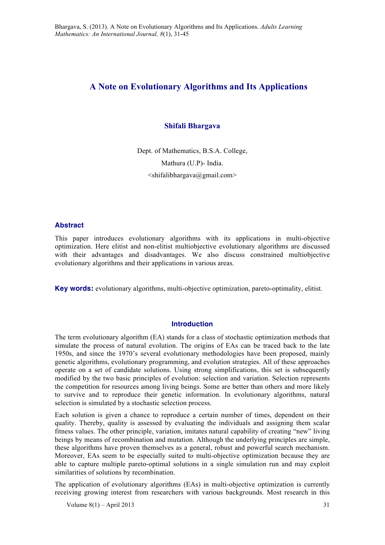# **A Note on Evolutionary Algorithms and Its Applications**

#### **Shifali Bhargava**

Dept. of Mathematics, B.S.A. College, Mathura (U.P)- India.  $\le$ shifalibhargava@gmail.com>

#### **Abstract**

This paper introduces evolutionary algorithms with its applications in multi-objective optimization. Here elitist and non-elitist multiobjective evolutionary algorithms are discussed with their advantages and disadvantages. We also discuss constrained multiobjective evolutionary algorithms and their applications in various areas.

**Key words:** evolutionary algorithms, multi-objective optimization, pareto-optimality, elitist.

#### **Introduction**

The term evolutionary algorithm (EA) stands for a class of stochastic optimization methods that simulate the process of natural evolution. The origins of EAs can be traced back to the late 1950s, and since the 1970's several evolutionary methodologies have been proposed, mainly genetic algorithms, evolutionary programming, and evolution strategies. All of these approaches operate on a set of candidate solutions. Using strong simplifications, this set is subsequently modified by the two basic principles of evolution: selection and variation. Selection represents the competition for resources among living beings. Some are better than others and more likely to survive and to reproduce their genetic information. In evolutionary algorithms, natural selection is simulated by a stochastic selection process.

Each solution is given a chance to reproduce a certain number of times, dependent on their quality. Thereby, quality is assessed by evaluating the individuals and assigning them scalar fitness values. The other principle, variation, imitates natural capability of creating "new" living beings by means of recombination and mutation. Although the underlying principles are simple, these algorithms have proven themselves as a general, robust and powerful search mechanism. Moreover, EAs seem to be especially suited to multi-objective optimization because they are able to capture multiple pareto-optimal solutions in a single simulation run and may exploit similarities of solutions by recombination.

The application of evolutionary algorithms (EAs) in multi-objective optimization is currently receiving growing interest from researchers with various backgrounds. Most research in this

Volume  $8(1)$  – April 2013 31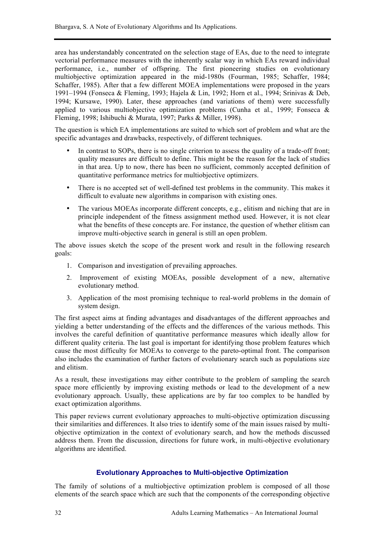area has understandably concentrated on the selection stage of EAs, due to the need to integrate vectorial performance measures with the inherently scalar way in which EAs reward individual performance, i.e., number of offspring. The first pioneering studies on evolutionary multiobjective optimization appeared in the mid-1980s (Fourman, 1985; Schaffer, 1984; Schaffer, 1985). After that a few different MOEA implementations were proposed in the years 1991–1994 (Fonseca & Fleming, 1993; Hajela & Lin, 1992; Horn et al., 1994; Srinivas & Deb, 1994; Kursawe, 1990). Later, these approaches (and variations of them) were successfully applied to various multiobjective optimization problems (Cunha et al., 1999; Fonseca & Fleming, 1998; Ishibuchi & Murata, 1997; Parks & Miller, 1998).

The question is which EA implementations are suited to which sort of problem and what are the specific advantages and drawbacks, respectively, of different techniques.

- In contrast to SOPs, there is no single criterion to assess the quality of a trade-off front; quality measures are difficult to define. This might be the reason for the lack of studies in that area. Up to now, there has been no sufficient, commonly accepted definition of quantitative performance metrics for multiobjective optimizers.
- There is no accepted set of well-defined test problems in the community. This makes it difficult to evaluate new algorithms in comparison with existing ones.
- The various MOEAs incorporate different concepts, e.g., elitism and niching that are in principle independent of the fitness assignment method used. However, it is not clear what the benefits of these concepts are. For instance, the question of whether elitism can improve multi-objective search in general is still an open problem.

The above issues sketch the scope of the present work and result in the following research goals:

- 1. Comparison and investigation of prevailing approaches.
- 2. Improvement of existing MOEAs, possible development of a new, alternative evolutionary method.
- 3. Application of the most promising technique to real-world problems in the domain of system design.

The first aspect aims at finding advantages and disadvantages of the different approaches and yielding a better understanding of the effects and the differences of the various methods. This involves the careful definition of quantitative performance measures which ideally allow for different quality criteria. The last goal is important for identifying those problem features which cause the most difficulty for MOEAs to converge to the pareto-optimal front. The comparison also includes the examination of further factors of evolutionary search such as populations size and elitism.

As a result, these investigations may either contribute to the problem of sampling the search space more efficiently by improving existing methods or lead to the development of a new evolutionary approach. Usually, these applications are by far too complex to be handled by exact optimization algorithms.

This paper reviews current evolutionary approaches to multi-objective optimization discussing their similarities and differences. It also tries to identify some of the main issues raised by multiobjective optimization in the context of evolutionary search, and how the methods discussed address them. From the discussion, directions for future work, in multi-objective evolutionary algorithms are identified.

# **Evolutionary Approaches to Multi-objective Optimization**

The family of solutions of a multiobjective optimization problem is composed of all those elements of the search space which are such that the components of the corresponding objective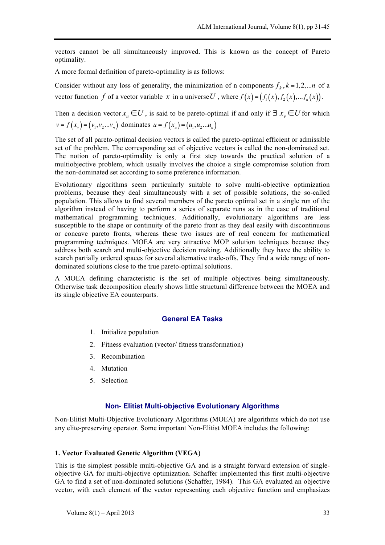vectors cannot be all simultaneously improved. This is known as the concept of Pareto optimality.

A more formal definition of pareto-optimality is as follows:

Consider without any loss of generality, the minimization of n components  $f_k$ ,  $k = 1, 2,...n$  of a vector function *f* of a vector variable *x* in a universe *U*, where  $f(x) = (f_1(x), f_2(x), \dots, f_n(x))$ .

Then a decision vector  $x_u \in U$ , is said to be pareto-optimal if and only if  $\exists x_v \in U$  for which  $v = f(x_v) = (v_1, v_2...v_n)$  dominates  $u = f(x_u) = (u_1, u_2...u_n)$ 

The set of all pareto-optimal decision vectors is called the pareto-optimal efficient or admissible set of the problem. The corresponding set of objective vectors is called the non-dominated set. The notion of pareto-optimality is only a first step towards the practical solution of a multiobjective problem, which usually involves the choice a single compromise solution from the non-dominated set according to some preference information.

Evolutionary algorithms seem particularly suitable to solve multi-objective optimization problems, because they deal simultaneously with a set of possible solutions, the so-called population. This allows to find several members of the pareto optimal set in a single run of the algorithm instead of having to perform a series of separate runs as in the case of traditional mathematical programming techniques. Additionally, evolutionary algorithms are less susceptible to the shape or continuity of the pareto front as they deal easily with discontinuous or concave pareto fronts, whereas these two issues are of real concern for mathematical programming techniques. MOEA are very attractive MOP solution techniques because they address both search and multi-objective decision making. Additionally they have the ability to search partially ordered spaces for several alternative trade-offs. They find a wide range of nondominated solutions close to the true pareto-optimal solutions.

A MOEA defining characteristic is the set of multiple objectives being simultaneously. Otherwise task decomposition clearly shows little structural difference between the MOEA and its single objective EA counterparts.

#### **General EA Tasks**

- 1. Initialize population
- 2. Fitness evaluation (vector/ fitness transformation)
- 3. Recombination
- 4. Mutation
- 5. Selection

#### **Non- Elitist Multi-objective Evolutionary Algorithms**

Non-Elitist Multi-Objective Evolutionary Algorithms (MOEA) are algorithms which do not use any elite-preserving operator. Some important Non-Elitist MOEA includes the following:

#### **1. Vector Evaluated Genetic Algorithm (VEGA)**

This is the simplest possible multi-objective GA and is a straight forward extension of singleobjective GA for multi-objective optimization. Schaffer implemented this first multi-objective GA to find a set of non-dominated solutions (Schaffer, 1984). This GA evaluated an objective vector, with each element of the vector representing each objective function and emphasizes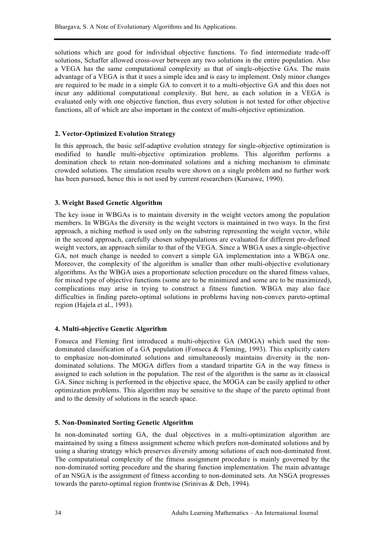solutions which are good for individual objective functions. To find intermediate trade-off solutions, Schaffer allowed cross-over between any two solutions in the entire population. Also a VEGA has the same computational complexity as that of single-objective GAs. The main advantage of a VEGA is that it uses a simple idea and is easy to implement. Only minor changes are required to be made in a simple GA to convert it to a multi-objective GA and this does not incur any additional computational complexity. But here, as each solution in a VEGA is evaluated only with one objective function, thus every solution is not tested for other objective functions, all of which are also important in the context of multi-objective optimization.

# **2. Vector-Optimized Evolution Strategy**

In this approach, the basic self-adaptive evolution strategy for single-objective optimization is modified to handle multi-objective optimization problems. This algorithm performs a domination check to retain non-dominated solutions and a niching mechanism to eliminate crowded solutions. The simulation results were shown on a single problem and no further work has been pursued, hence this is not used by current researchers (Kursawe, 1990).

# **3. Weight Based Genetic Algorithm**

The key issue in WBGAs is to maintain diversity in the weight vectors among the population members. In WBGAs the diversity in the weight vectors is maintained in two ways. In the first approach, a niching method is used only on the substring representing the weight vector, while in the second approach, carefully chosen subpopulations are evaluated for different pre-defined weight vectors, an approach similar to that of the VEGA. Since a WBGA uses a single-objective GA, not much change is needed to convert a simple GA implementation into a WBGA one. Moreover, the complexity of the algorithm is smaller than other multi-objective evolutionary algorithms. As the WBGA uses a proportionate selection procedure on the shared fitness values, for mixed type of objective functions (some are to be minimized and some are to be maximized), complications may arise in trying to construct a fitness function. WBGA may also face difficulties in finding pareto-optimal solutions in problems having non-convex pareto-optimal region (Hajela et al., 1993).

# **4. Multi-objective Genetic Algorithm**

Fonseca and Fleming first introduced a multi-objective GA (MOGA) which used the nondominated classification of a GA population (Fonseca & Fleming, 1993). This explicitly caters to emphasize non-dominated solutions and simultaneously maintains diversity in the nondominated solutions. The MOGA differs from a standard tripartite GA in the way fitness is assigned to each solution in the population. The rest of the algorithm is the same as in classical GA. Since niching is performed in the objective space, the MOGA can be easily applied to other optimization problems. This algorithm may be sensitive to the shape of the pareto optimal front and to the density of solutions in the search space.

# **5. Non-Dominated Sorting Genetic Algorithm**

In non-dominated sorting GA, the dual objectives in a multi-optimization algorithm are maintained by using a fitness assignment scheme which prefers non-dominated solutions and by using a sharing strategy which preserves diversity among solutions of each non-dominated front. The computational complexity of the fitness assignment procedure is mainly governed by the non-dominated sorting procedure and the sharing function implementation. The main advantage of an NSGA is the assignment of fitness according to non-dominated sets. An NSGA progresses towards the pareto-optimal region frontwise (Srinivas & Deb, 1994).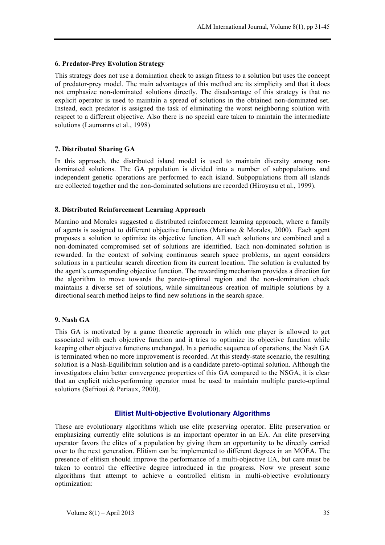#### **6. Predator-Prey Evolution Strategy**

This strategy does not use a domination check to assign fitness to a solution but uses the concept of predator-prey model. The main advantages of this method are its simplicity and that it does not emphasize non-dominated solutions directly. The disadvantage of this strategy is that no explicit operator is used to maintain a spread of solutions in the obtained non-dominated set. Instead, each predator is assigned the task of eliminating the worst neighboring solution with respect to a different objective. Also there is no special care taken to maintain the intermediate solutions (Laumanns et al., 1998)

#### **7. Distributed Sharing GA**

In this approach, the distributed island model is used to maintain diversity among nondominated solutions. The GA population is divided into a number of subpopulations and independent genetic operations are performed to each island. Subpopulations from all islands are collected together and the non-dominated solutions are recorded (Hiroyasu et al., 1999).

#### **8. Distributed Reinforcement Learning Approach**

Maraino and Morales suggested a distributed reinforcement learning approach, where a family of agents is assigned to different objective functions (Mariano & Morales, 2000). Each agent proposes a solution to optimize its objective function. All such solutions are combined and a non-dominated compromised set of solutions are identified. Each non-dominated solution is rewarded. In the context of solving continuous search space problems, an agent considers solutions in a particular search direction from its current location. The solution is evaluated by the agent's corresponding objective function. The rewarding mechanism provides a direction for the algorithm to move towards the pareto-optimal region and the non-domination check maintains a diverse set of solutions, while simultaneous creation of multiple solutions by a directional search method helps to find new solutions in the search space.

#### **9. Nash GA**

This GA is motivated by a game theoretic approach in which one player is allowed to get associated with each objective function and it tries to optimize its objective function while keeping other objective functions unchanged. In a periodic sequence of operations, the Nash GA is terminated when no more improvement is recorded. At this steady-state scenario, the resulting solution is a Nash-Equilibrium solution and is a candidate pareto-optimal solution. Although the investigators claim better convergence properties of this GA compared to the NSGA, it is clear that an explicit niche-performing operator must be used to maintain multiple pareto-optimal solutions (Sefrioui & Periaux, 2000).

#### **Elitist Multi-objective Evolutionary Algorithms**

These are evolutionary algorithms which use elite preserving operator. Elite preservation or emphasizing currently elite solutions is an important operator in an EA. An elite preserving operator favors the elites of a population by giving them an opportunity to be directly carried over to the next generation. Elitism can be implemented to different degrees in an MOEA. The presence of elitism should improve the performance of a multi-objective EA, but care must be taken to control the effective degree introduced in the progress. Now we present some algorithms that attempt to achieve a controlled elitism in multi-objective evolutionary optimization: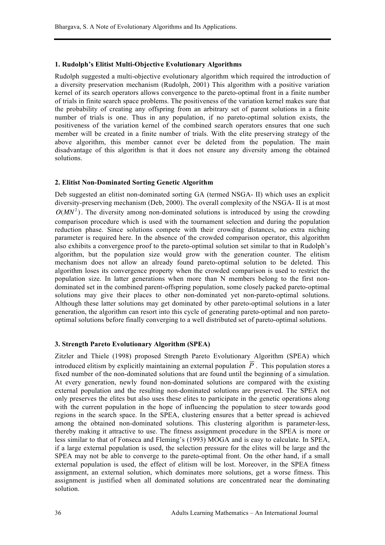#### **1. Rudolph's Elitist Multi-Objective Evolutionary Algorithms**

Rudolph suggested a multi-objective evolutionary algorithm which required the introduction of a diversity preservation mechanism (Rudolph, 2001) This algorithm with a positive variation kernel of its search operators allows convergence to the pareto-optimal front in a finite number of trials in finite search space problems. The positiveness of the variation kernel makes sure that the probability of creating any offspring from an arbitrary set of parent solutions in a finite number of trials is one. Thus in any population, if no pareto-optimal solution exists, the positiveness of the variation kernel of the combined search operators ensures that one such member will be created in a finite number of trials. With the elite preserving strategy of the above algorithm, this member cannot ever be deleted from the population. The main disadvantage of this algorithm is that it does not ensure any diversity among the obtained solutions.

### **2. Elitist Non-Dominated Sorting Genetic Algorithm**

Deb suggested an elitist non-dominated sorting GA (termed NSGA- II) which uses an explicit diversity-preserving mechanism (Deb, 2000). The overall complexity of the NSGA- II is at most  $O(MN<sup>2</sup>)$ . The diversity among non-dominated solutions is introduced by using the crowding comparison procedure which is used with the tournament selection and during the population reduction phase. Since solutions compete with their crowding distances, no extra niching parameter is required here. In the absence of the crowded comparison operator, this algorithm also exhibits a convergence proof to the pareto-optimal solution set similar to that in Rudolph's algorithm, but the population size would grow with the generation counter. The elitism mechanism does not allow an already found pareto-optimal solution to be deleted. This algorithm loses its convergence property when the crowded comparison is used to restrict the population size. In latter generations when more than N members belong to the first nondominated set in the combined parent-offspring population, some closely packed pareto-optimal solutions may give their places to other non-dominated yet non-pareto-optimal solutions. Although these latter solutions may get dominated by other pareto-optimal solutions in a later generation, the algorithm can resort into this cycle of generating pareto-optimal and non paretooptimal solutions before finally converging to a well distributed set of pareto-optimal solutions.

#### **3. Strength Pareto Evolutionary Algorithm (SPEA)**

Zitzler and Thiele (1998) proposed Strength Pareto Evolutionary Algorithm (SPEA) which introduced elitism by explicitly maintaining an external population  $\overline{P}$ . This population stores a fixed number of the non-dominated solutions that are found until the beginning of a simulation. At every generation, newly found non-dominated solutions are compared with the existing external population and the resulting non-dominated solutions are preserved. The SPEA not only preserves the elites but also uses these elites to participate in the genetic operations along with the current population in the hope of influencing the population to steer towards good regions in the search space. In the SPEA, clustering ensures that a better spread is achieved among the obtained non-dominated solutions. This clustering algorithm is parameter-less, thereby making it attractive to use. The fitness assignment procedure in the SPEA is more or less similar to that of Fonseca and Fleming's (1993) MOGA and is easy to calculate. In SPEA, if a large external population is used, the selection pressure for the elites will be large and the SPEA may not be able to converge to the pareto-optimal front. On the other hand, if a small external population is used, the effect of elitism will be lost. Moreover, in the SPEA fitness assignment, an external solution, which dominates more solutions, get a worse fitness. This assignment is justified when all dominated solutions are concentrated near the dominating solution.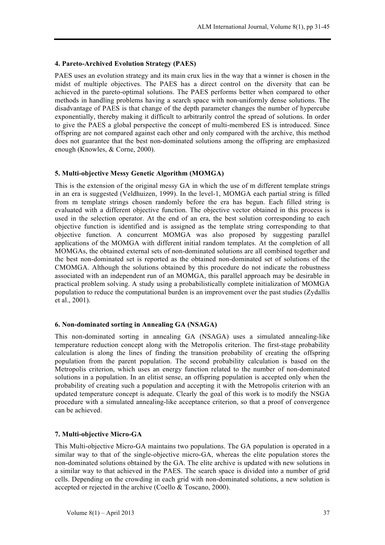#### **4. Pareto-Archived Evolution Strategy (PAES)**

PAES uses an evolution strategy and its main crux lies in the way that a winner is chosen in the midst of multiple objectives. The PAES has a direct control on the diversity that can be achieved in the pareto-optimal solutions. The PAES performs better when compared to other methods in handling problems having a search space with non-uniformly dense solutions. The disadvantage of PAES is that change of the depth parameter changes the number of hypercube exponentially, thereby making it difficult to arbitrarily control the spread of solutions. In order to give the PAES a global perspective the concept of multi-membered ES is introduced. Since offspring are not compared against each other and only compared with the archive, this method does not guarantee that the best non-dominated solutions among the offspring are emphasized enough (Knowles, & Corne, 2000).

### **5. Multi-objective Messy Genetic Algorithm (MOMGA)**

This is the extension of the original messy GA in which the use of m different template strings in an era is suggested (Veldhuizen, 1999). In the level-1, MOMGA each partial string is filled from m template strings chosen randomly before the era has begun. Each filled string is evaluated with a different objective function. The objective vector obtained in this process is used in the selection operator. At the end of an era, the best solution corresponding to each objective function is identified and is assigned as the template string corresponding to that objective function. A concurrent MOMGA was also proposed by suggesting parallel applications of the MOMGA with different initial random templates. At the completion of all MOMGAs, the obtained external sets of non-dominated solutions are all combined together and the best non-dominated set is reported as the obtained non-dominated set of solutions of the CMOMGA. Although the solutions obtained by this procedure do not indicate the robustness associated with an independent run of an MOMGA, this parallel approach may be desirable in practical problem solving. A study using a probabilistically complete initialization of MOMGA population to reduce the computational burden is an improvement over the past studies (Zydallis et al., 2001).

### **6. Non-dominated sorting in Annealing GA (NSAGA)**

This non-dominated sorting in annealing GA (NSAGA) uses a simulated annealing-like temperature reduction concept along with the Metropolis criterion. The first-stage probability calculation is along the lines of finding the transition probability of creating the offspring population from the parent population. The second probability calculation is based on the Metropolis criterion, which uses an energy function related to the number of non-dominated solutions in a population. In an elitist sense, an offspring population is accepted only when the probability of creating such a population and accepting it with the Metropolis criterion with an updated temperature concept is adequate. Clearly the goal of this work is to modify the NSGA procedure with a simulated annealing-like acceptance criterion, so that a proof of convergence can be achieved.

# **7. Multi-objective Micro-GA**

This Multi-objective Micro-GA maintains two populations. The GA population is operated in a similar way to that of the single-objective micro-GA, whereas the elite population stores the non-dominated solutions obtained by the GA. The elite archive is updated with new solutions in a similar way to that achieved in the PAES. The search space is divided into a number of grid cells. Depending on the crowding in each grid with non-dominated solutions, a new solution is accepted or rejected in the archive (Coello & Toscano, 2000).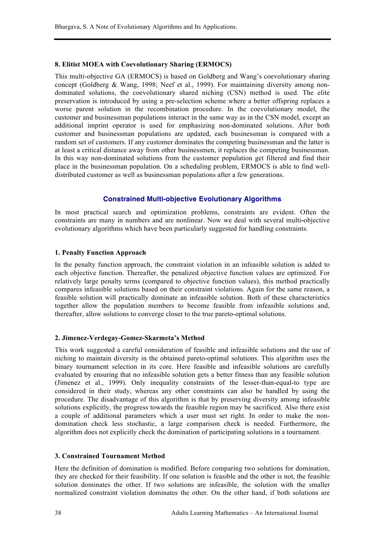### **8. Elitist MOEA with Coevolutionary Sharing (ERMOCS)**

This multi-objective GA (ERMOCS) is based on Goldberg and Wang's coevolutionary sharing concept (Goldberg & Wang, 1998; Neef et al., 1999). For maintaining diversity among nondominated solutions, the coevolutionary shared niching (CSN) method is used. The elite preservation is introduced by using a pre-selection scheme where a better offspring replaces a worse parent solution in the recombination procedure. In the coevolutionary model, the customer and businessman populations interact in the same way as in the CSN model, except an additional imprint operator is used for emphasizing non-dominated solutions. After both customer and businessman populations are updated, each businessman is compared with a random set of customers. If any customer dominates the competing businessman and the latter is at least a critical distance away from other businessmen, it replaces the competing businessman. In this way non-dominated solutions from the customer population get filtered and find their place in the businessman population. On a scheduling problem, ERMOCS is able to find welldistributed customer as well as businessman populations after a few generations.

#### **Constrained Multi-objective Evolutionary Algorithms**

In most practical search and optimization problems, constraints are evident. Often the constraints are many in numbers and are nonlinear. Now we deal with several multi**-**objective evolutionary algorithms which have been particularly suggested for handling constraints.

#### **1. Penalty Function Approach**

In the penalty function approach, the constraint violation in an infeasible solution is added to each objective function. Thereafter, the penalized objective function values are optimized. For relatively large penalty terms (compared to objective function values), this method practically compares infeasible solutions based on their constraint violations. Again for the same reason, a feasible solution will practically dominate an infeasible solution. Both of these characteristics together allow the population members to become feasible from infeasible solutions and, thereafter, allow solutions to converge closer to the true pareto-optimal solutions.

### **2. Jimenez-Verdegay-Gomez-Skarmeta's Method**

This work suggested a careful consideration of feasible and infeasible solutions and the use of niching to maintain diversity in the obtained pareto-optimal solutions. This algorithm uses the binary tournament selection in its core. Here feasible and infeasible solutions are carefully evaluated by ensuring that no infeasible solution gets a better fitness than any feasible solution (Jimenez et al., 1999). Only inequality constraints of the lesser-than-equal-to type are considered in their study, whereas any other constraints can also be handled by using the procedure. The disadvantage of this algorithm is that by preserving diversity among infeasible solutions explicitly, the progress towards the feasible region may be sacrificed. Also there exist a couple of additional parameters which a user must set right. In order to make the nondomination check less stochastic, a large comparison check is needed. Furthermore, the algorithm does not explicitly check the domination of participating solutions in a tournament.

### **3. Constrained Tournament Method**

Here the definition of domination is modified. Before comparing two solutions for domination, they are checked for their feasibility. If one solution is feasible and the other is not, the feasible solution dominates the other. If two solutions are infeasible, the solution with the smaller normalized constraint violation dominates the other. On the other hand, if both solutions are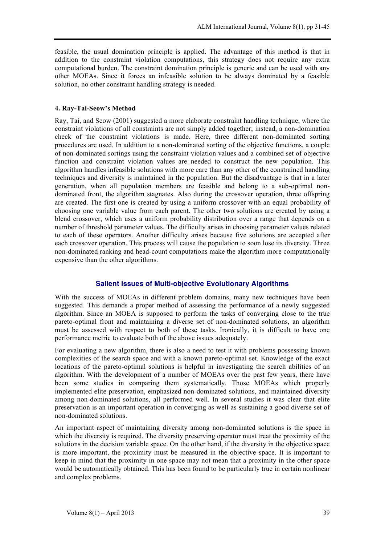feasible, the usual domination principle is applied. The advantage of this method is that in addition to the constraint violation computations, this strategy does not require any extra computational burden. The constraint domination principle is generic and can be used with any other MOEAs. Since it forces an infeasible solution to be always dominated by a feasible solution, no other constraint handling strategy is needed.

#### **4. Ray-Tai-Seow's Method**

Ray, Tai, and Seow (2001) suggested a more elaborate constraint handling technique, where the constraint violations of all constraints are not simply added together; instead, a non-domination check of the constraint violations is made. Here, three different non-dominated sorting procedures are used. In addition to a non-dominated sorting of the objective functions, a couple of non-dominated sortings using the constraint violation values and a combined set of objective function and constraint violation values are needed to construct the new population. This algorithm handles infeasible solutions with more care than any other of the constrained handling techniques and diversity is maintained in the population. But the disadvantage is that in a later generation, when all population members are feasible and belong to a sub-optimal nondominated front, the algorithm stagnates. Also during the crossover operation, three offspring are created. The first one is created by using a uniform crossover with an equal probability of choosing one variable value from each parent. The other two solutions are created by using a blend crossover, which uses a uniform probability distribution over a range that depends on a number of threshold parameter values. The difficulty arises in choosing parameter values related to each of these operators. Another difficulty arises because five solutions are accepted after each crossover operation. This process will cause the population to soon lose its diversity. Three non-dominated ranking and head-count computations make the algorithm more computationally expensive than the other algorithms.

#### **Salient issues of Multi-objective Evolutionary Algorithms**

With the success of MOEAs in different problem domains, many new techniques have been suggested. This demands a proper method of assessing the performance of a newly suggested algorithm. Since an MOEA is supposed to perform the tasks of converging close to the true pareto-optimal front and maintaining a diverse set of non-dominated solutions, an algorithm must be assessed with respect to both of these tasks. Ironically, it is difficult to have one performance metric to evaluate both of the above issues adequately.

For evaluating a new algorithm, there is also a need to test it with problems possessing known complexities of the search space and with a known pareto-optimal set. Knowledge of the exact locations of the pareto-optimal solutions is helpful in investigating the search abilities of an algorithm. With the development of a number of MOEAs over the past few years, there have been some studies in comparing them systematically. Those MOEAs which properly implemented elite preservation, emphasized non-dominated solutions, and maintained diversity among non-dominated solutions, all performed well. In several studies it was clear that elite preservation is an important operation in converging as well as sustaining a good diverse set of non-dominated solutions.

An important aspect of maintaining diversity among non-dominated solutions is the space in which the diversity is required. The diversity preserving operator must treat the proximity of the solutions in the decision variable space. On the other hand, if the diversity in the objective space is more important, the proximity must be measured in the objective space. It is important to keep in mind that the proximity in one space may not mean that a proximity in the other space would be automatically obtained. This has been found to be particularly true in certain nonlinear and complex problems.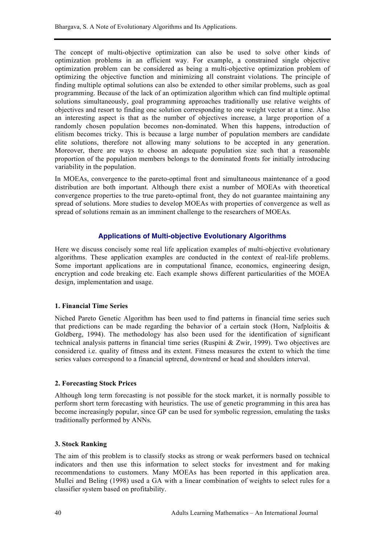The concept of multi-objective optimization can also be used to solve other kinds of optimization problems in an efficient way. For example, a constrained single objective optimization problem can be considered as being a multi-objective optimization problem of optimizing the objective function and minimizing all constraint violations. The principle of finding multiple optimal solutions can also be extended to other similar problems, such as goal programming. Because of the lack of an optimization algorithm which can find multiple optimal solutions simultaneously, goal programming approaches traditionally use relative weights of objectives and resort to finding one solution corresponding to one weight vector at a time. Also an interesting aspect is that as the number of objectives increase, a large proportion of a randomly chosen population becomes non-dominated. When this happens, introduction of elitism becomes tricky. This is because a large number of population members are candidate elite solutions, therefore not allowing many solutions to be accepted in any generation. Moreover, there are ways to choose an adequate population size such that a reasonable proportion of the population members belongs to the dominated fronts for initially introducing variability in the population.

In MOEAs, convergence to the pareto-optimal front and simultaneous maintenance of a good distribution are both important. Although there exist a number of MOEAs with theoretical convergence properties to the true pareto-optimal front, they do not guarantee maintaining any spread of solutions. More studies to develop MOEAs with properties of convergence as well as spread of solutions remain as an imminent challenge to the researchers of MOEAs.

# **Applications of Multi-objective Evolutionary Algorithms**

Here we discuss concisely some real life application examples of multi-objective evolutionary algorithms. These application examples are conducted in the context of real-life problems. Some important applications are in computational finance, economics, engineering design, encryption and code breaking etc. Each example shows different particularities of the MOEA design, implementation and usage.

#### **1. Financial Time Series**

Niched Pareto Genetic Algorithm has been used to find patterns in financial time series such that predictions can be made regarding the behavior of a certain stock (Horn, Nafploitis  $\&$ Goldberg, 1994). The methodology has also been used for the identification of significant technical analysis patterns in financial time series (Ruspini & Zwir, 1999). Two objectives are considered i.e. quality of fitness and its extent. Fitness measures the extent to which the time series values correspond to a financial uptrend, downtrend or head and shoulders interval.

#### **2. Forecasting Stock Prices**

Although long term forecasting is not possible for the stock market, it is normally possible to perform short term forecasting with heuristics. The use of genetic programming in this area has become increasingly popular, since GP can be used for symbolic regression, emulating the tasks traditionally performed by ANNs.

#### **3. Stock Ranking**

The aim of this problem is to classify stocks as strong or weak performers based on technical indicators and then use this information to select stocks for investment and for making recommendations to customers. Many MOEAs has been reported in this application area. Mullei and Beling (1998) used a GA with a linear combination of weights to select rules for a classifier system based on profitability.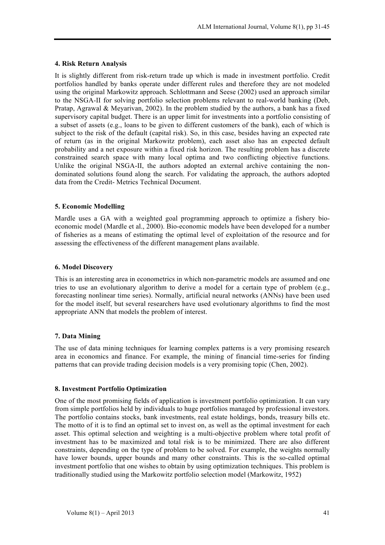#### **4. Risk Return Analysis**

It is slightly different from risk-return trade up which is made in investment portfolio. Credit portfolios handled by banks operate under different rules and therefore they are not modeled using the original Markowitz approach. Schlottmann and Seese (2002) used an approach similar to the NSGA-II for solving portfolio selection problems relevant to real-world banking (Deb, Pratap, Agrawal & Meyarivan, 2002). In the problem studied by the authors, a bank has a fixed supervisory capital budget. There is an upper limit for investments into a portfolio consisting of a subset of assets (e.g., loans to be given to different customers of the bank), each of which is subject to the risk of the default (capital risk). So, in this case, besides having an expected rate of return (as in the original Markowitz problem), each asset also has an expected default probability and a net exposure within a fixed risk horizon. The resulting problem has a discrete constrained search space with many local optima and two conflicting objective functions. Unlike the original NSGA-II, the authors adopted an external archive containing the nondominated solutions found along the search. For validating the approach, the authors adopted data from the Credit- Metrics Technical Document.

### **5. Economic Modelling**

Mardle uses a GA with a weighted goal programming approach to optimize a fishery bioeconomic model (Mardle et al., 2000). Bio-economic models have been developed for a number of fisheries as a means of estimating the optimal level of exploitation of the resource and for assessing the effectiveness of the different management plans available.

### **6. Model Discovery**

This is an interesting area in econometrics in which non-parametric models are assumed and one tries to use an evolutionary algorithm to derive a model for a certain type of problem (e.g., forecasting nonlinear time series). Normally, artificial neural networks (ANNs) have been used for the model itself, but several researchers have used evolutionary algorithms to find the most appropriate ANN that models the problem of interest.

# **7. Data Mining**

The use of data mining techniques for learning complex patterns is a very promising research area in economics and finance. For example, the mining of financial time-series for finding patterns that can provide trading decision models is a very promising topic (Chen, 2002).

#### **8. Investment Portfolio Optimization**

One of the most promising fields of application is investment portfolio optimization. It can vary from simple portfolios held by individuals to huge portfolios managed by professional investors. The portfolio contains stocks, bank investments, real estate holdings, bonds, treasury bills etc. The motto of it is to find an optimal set to invest on, as well as the optimal investment for each asset. This optimal selection and weighting is a multi-objective problem where total profit of investment has to be maximized and total risk is to be minimized. There are also different constraints, depending on the type of problem to be solved. For example, the weights normally have lower bounds, upper bounds and many other constraints. This is the so-called optimal investment portfolio that one wishes to obtain by using optimization techniques. This problem is traditionally studied using the Markowitz portfolio selection model (Markowitz, 1952)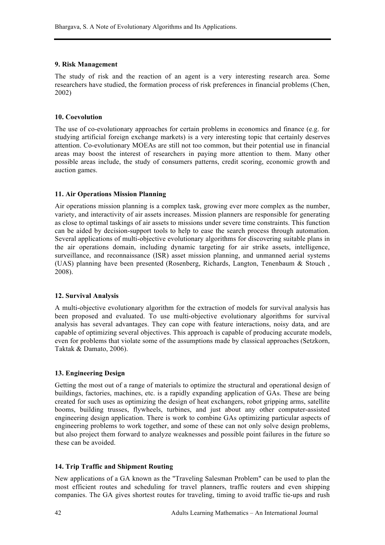### **9. Risk Management**

The study of risk and the reaction of an agent is a very interesting research area. Some researchers have studied, the formation process of risk preferences in financial problems (Chen, 2002)

### **10. Coevolution**

The use of co-evolutionary approaches for certain problems in economics and finance (e.g. for studying artificial foreign exchange markets) is a very interesting topic that certainly deserves attention. Co-evolutionary MOEAs are still not too common, but their potential use in financial areas may boost the interest of researchers in paying more attention to them. Many other possible areas include, the study of consumers patterns, credit scoring, economic growth and auction games.

### **11. Air Operations Mission Planning**

Air operations mission planning is a complex task, growing ever more complex as the number, variety, and interactivity of air assets increases. Mission planners are responsible for generating as close to optimal taskings of air assets to missions under severe time constraints. This function can be aided by decision-support tools to help to ease the search process through automation. Several applications of multi-objective evolutionary algorithms for discovering suitable plans in the air operations domain, including dynamic targeting for air strike assets, intelligence, surveillance, and reconnaissance (ISR) asset mission planning, and unmanned aerial systems (UAS) planning have been presented (Rosenberg, Richards, Langton, Tenenbaum & Stouch , 2008).

# **12. Survival Analysis**

A multi-objective evolutionary algorithm for the extraction of models for survival analysis has been proposed and evaluated. To use multi-objective evolutionary algorithms for survival analysis has several advantages. They can cope with feature interactions, noisy data, and are capable of optimizing several objectives. This approach is capable of producing accurate models, even for problems that violate some of the assumptions made by classical approaches (Setzkorn, Taktak & Damato, 2006).

# **13. Engineering Design**

Getting the most out of a range of materials to optimize the structural and operational design of buildings, factories, machines, etc. is a rapidly expanding application of GAs. These are being created for such uses as optimizing the design of heat exchangers, robot gripping arms, satellite booms, building trusses, flywheels, turbines, and just about any other computer-assisted engineering design application. There is work to combine GAs optimizing particular aspects of engineering problems to work together, and some of these can not only solve design problems, but also project them forward to analyze weaknesses and possible point failures in the future so these can be avoided.

# **14. Trip Traffic and Shipment Routing**

New applications of a GA known as the "Traveling Salesman Problem" can be used to plan the most efficient routes and scheduling for travel planners, traffic routers and even shipping companies. The GA gives shortest routes for traveling, timing to avoid traffic tie-ups and rush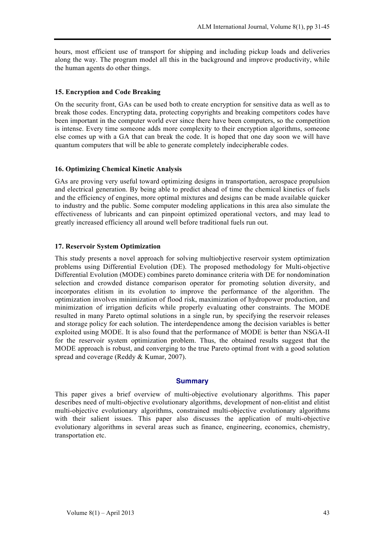hours, most efficient use of transport for shipping and including pickup loads and deliveries along the way. The program model all this in the background and improve productivity, while the human agents do other things.

### **15. Encryption and Code Breaking**

On the security front, GAs can be used both to create encryption for sensitive data as well as to break those codes. Encrypting data, protecting copyrights and breaking competitors codes have been important in the computer world ever since there have been computers, so the competition is intense. Every time someone adds more complexity to their encryption algorithms, someone else comes up with a GA that can break the code. It is hoped that one day soon we will have quantum computers that will be able to generate completely indecipherable codes.

### **16. Optimizing Chemical Kinetic Analysis**

GAs are proving very useful toward optimizing designs in transportation, aerospace propulsion and electrical generation. By being able to predict ahead of time the chemical kinetics of fuels and the efficiency of engines, more optimal mixtures and designs can be made available quicker to industry and the public. Some computer modeling applications in this area also simulate the effectiveness of lubricants and can pinpoint optimized operational vectors, and may lead to greatly increased efficiency all around well before traditional fuels run out.

### **17. Reservoir System Optimization**

This study presents a novel approach for solving multiobjective reservoir system optimization problems using Differential Evolution (DE). The proposed methodology for Multi-objective Differential Evolution (MODE) combines pareto dominance criteria with DE for nondomination selection and crowded distance comparison operator for promoting solution diversity, and incorporates elitism in its evolution to improve the performance of the algorithm. The optimization involves minimization of flood risk, maximization of hydropower production, and minimization of irrigation deficits while properly evaluating other constraints. The MODE resulted in many Pareto optimal solutions in a single run, by specifying the reservoir releases and storage policy for each solution. The interdependence among the decision variables is better exploited using MODE. It is also found that the performance of MODE is better than NSGA-II for the reservoir system optimization problem. Thus, the obtained results suggest that the MODE approach is robust, and converging to the true Pareto optimal front with a good solution spread and coverage (Reddy & Kumar, 2007).

#### **Summary**

This paper gives a brief overview of multi-objective evolutionary algorithms. This paper describes need of multi-objective evolutionary algorithms, development of non-elitist and elitist multi-objective evolutionary algorithms, constrained multi-objective evolutionary algorithms with their salient issues. This paper also discusses the application of multi-objective evolutionary algorithms in several areas such as finance, engineering, economics, chemistry, transportation etc.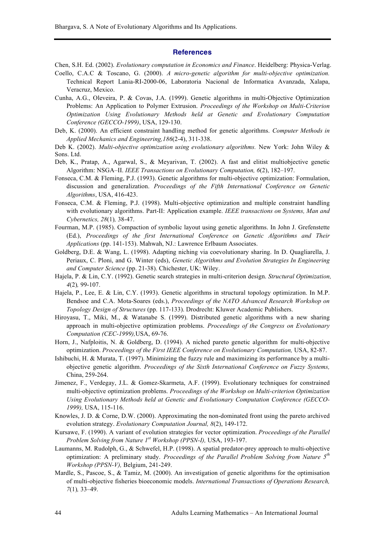#### **References**

Chen, S.H. Ed. (2002). *Evolutionary computation in Economics and Finance*. Heidelberg: Physica-Verlag.

- Coello, C.A.C & Toscano, G. (2000). *A micro-genetic algorithm for multi-objective optimization.*  Technical Report Lania-RI-2000-06, Laboratoria Nacional de Informatica Avanzada, Xalapa, Veracruz, Mexico.
- Cunha, A.G., Oleveira, P. & Covas, J.A. (1999). Genetic algorithms in multi-Objective Optimization Problems: An Application to Polymer Extrusion. *Proceedings of the Workshop on Multi-Criterion Optimization Using Evolutionary Methods held at Genetic and Evolutionary Computation Conference (GECCO-1999)*, USA, 129-130.
- Deb, K. (2000). An efficient constraint handling method for genetic algorithms. *Computer Methods in Applied Mechanics and Engineering,186*(2-4), 311-338.

Deb K. (2002). *Multi-objective optimization using evolutionary algorithms.* New York: John Wiley & Sons. Ltd.

- Deb, K., Pratap, A., Agarwal, S., & Meyarivan, T. (2002). A fast and elitist multiobjective genetic Algorithm: NSGA–II. *IEEE Transactions on Evolutionary Computation, 6*(2), 182–197.
- Fonseca, C.M. & Fleming, P.J. (1993). Genetic algorithms for multi-objective optimization: Formulation, discussion and generalization. *Proceedings of the Fifth International Conference on Genetic Algorithms*, USA, 416-423.
- Fonseca, C.M. & Fleming, P.J. (1998). Multi-objective optimization and multiple constraint handling with evolutionary algorithms. Part-II: Application example. *IEEE transactions on Systems, Man and Cybernetics, 28*(1)*,* 38-47.
- Fourman, M.P. (1985). Compaction of symbolic layout using genetic algorithms. In John J. Grefenstette (Ed.), *Proceedings of the first International Conference on Genetic Algorithms and Their Applications* (pp. 141-153). Mahwah, NJ.: Lawrence Erlbaum Associates.
- Goldberg, D.E. & Wang, L. (1998). Adapting niching via coevolutionary sharing. In D. Quagliarella, J. Periaux, C. Ploni, and G. Winter (eds), *Genetic Algorithms and Evolution Strategies In Engineering and Computer Science* (pp. 21-38). Chichester, UK: Wiley.
- Hajela, P. & Lin, C.Y. (1992). Genetic search strategies in multi-criterion design. *Structural Optimization, 4*(2)*,* 99-107.
- Hajela, P., Lee, E. & Lin, C.Y. (1993). Genetic algorithms in structural topology optimization. In M.P. Bendsoe and C.A. Mota-Soares (eds.), *Proceedings of the NATO Advanced Research Workshop on Topology Design of Structures* (pp. 117-133). Drodrecht: Kluwer Academic Publishers.
- Hiroyasu, T., Miki, M., & Watanabe S. (1999). Distributed genetic algorithms with a new sharing approach in multi-objective optimization problems. *Proceedings of the Congress on Evolutionary Computation (CEC-1999),*USA, 69-76.
- Horn, J., Nafploitis, N. & Goldberg, D. (1994). A niched pareto genetic algorithm for multi-objective optimization. *Proceedings of the First IEEE Conference on Evolutionary Computation,* USA, 82-87.
- Ishibuchi, H. & Murata, T. (1997). Minimizing the fuzzy rule and maximizing its performance by a multiobjective genetic algorithm. *Proceedings of the Sixth International Conference on Fuzzy Systems,* China, 259-264.
- Jimenez, F., Verdegay, J.L. & Gomez-Skarmeta, A.F. (1999). Evolutionary techniques for constrained multi-objective optimization problems. *Proceedings of the Workshop on Multi-criterion Optimization Using Evolutionary Methods held at Genetic and Evolutionary Computation Conference (GECCO-1999),* USA, 115-116.
- Knowles, J. D. & Corne, D.W. (2000). Approximating the non-dominated front using the pareto archived evolution strategy. *Evolutionary Computation Journal, 8*(2), 149-172.
- Kursawe, F. (1990). A variant of evolution strategies for vector optimization. *Proceedings of the Parallel Problem Solving from Nature 1st Workshop (PPSN-I),* USA, 193-197.
- Laumanns, M. Rudolph, G., & Schwefel, H.P. (1998). A spatial predator-prey approach to multi-objective optimization: A preliminary study. *Proceedings of the Parallel Problem Solving from Nature 5th Workshop (PPSN-V),* Belgium, 241-249.
- Mardle, S., Pascoe, S., & Tamiz, M. (2000). An investigation of genetic algorithms for the optimisation of multi-objective fisheries bioeconomic models. *International Transactions of Operations Research, 7*(1)*,* 33–49.